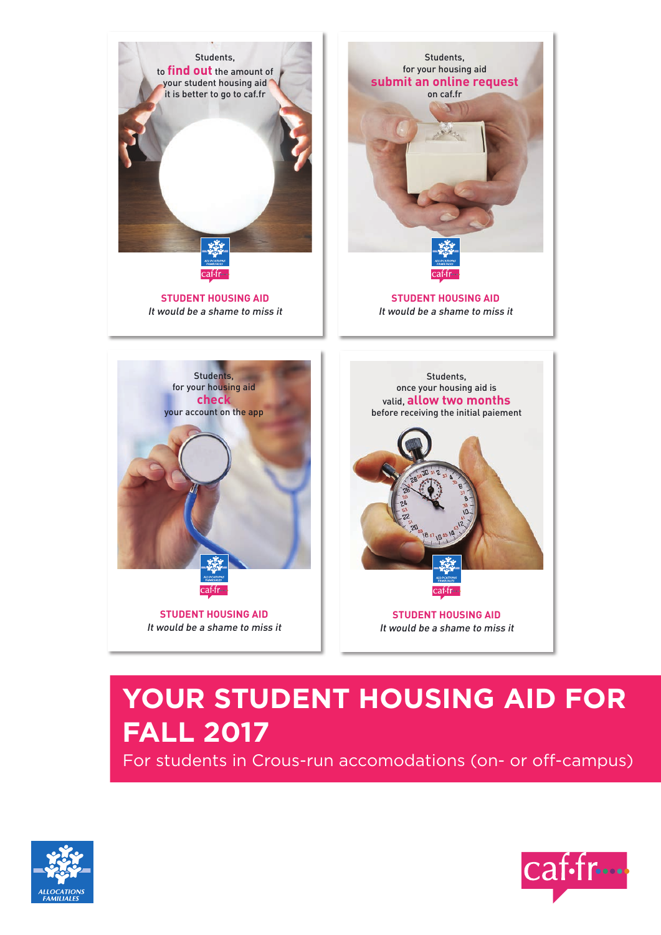

# **YOUR STUDENT HOUSING AID FOR FALL 2017**

For students in Crous-run accomodations (on- or off-campus)



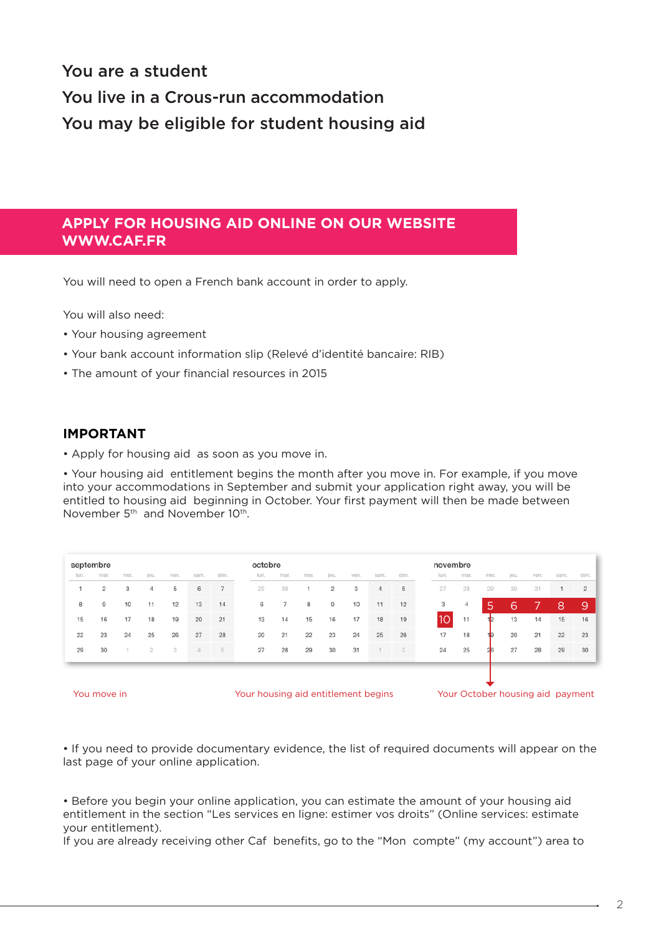# You are a student You live in a Crous-run accommodation You may be eligible for student housing aid

# **APPLY FOR HOUSING AID ONLINE ON OUR WEBSITE WWW.CAF.FR**

You will need to open a French bank account in order to apply.

You will also need:

- Your housing agreement
- Your bank account information slip (Relevé d'identité bancaire: RIB)
- The amount of your financial resources in 2015

#### **IMPORTANT**

• Apply for housing aid as soon as you move in.

• Your housing aid entitlement begins the month after you move in. For example, if you move into your accommodations in September and submit your application right away, you will be entitled to housing aid beginning in October. Your first payment will then be made between November 5<sup>th</sup> and November 10<sup>th</sup>.

| septembre |                |      |      |      | octobre |                |      |                | novembre |                |      |      |      |      |      |      |      |      |      |                |
|-----------|----------------|------|------|------|---------|----------------|------|----------------|----------|----------------|------|------|------|------|------|------|------|------|------|----------------|
| lun.      | mar.           | mer. | jeu. | ven. | sam.    | dim.           | lun. | mar.           | mer.     | jeu.           | ven. | sam. | dim. | lun. | mar. | mer. | jeu. | ven. | sam. | dim.           |
|           | $\overline{c}$ | 3    | 4    | 5    | 6       | $\overline{7}$ | 29   | 30             |          | $\overline{c}$ | 3    | 4    | 5    | 27   | 28   | 29   | 30   | 31   |      | $\overline{2}$ |
| 8         | 9              | 10   | 11   | 12   | 13      | 14             | 6    | $\overline{7}$ | 8        | 9              | 10   | 11   | 12   | 3    | 4    | Ι5ι  | 6    |      | 8    | 9              |
| 15        | 16             | 17   | 18   | 19   | 20      | 21             | 13   | 14             | 15       | 16             | 17   | 18   | 19   | 10   | 11   |      | 13   | 14   | 15   | 16             |
| 22        | 23             | 24   | 25   | 26   | 27      | 28             | 20   | 21             | 22       | 23             | 24   | 25   | 26   | 17   | 18   |      | 20   | 21   | 22   | - 23           |
| 29        | 30             |      | 2    | 3    | 4       | 5              | 27   | 28             | 29       | 30             | 31   |      |      | 24   | 25   |      | 27   | 28   | 29   | 30             |
|           |                |      |      |      |         |                |      |                |          |                |      |      |      |      |      |      |      |      |      |                |



• If you need to provide documentary evidence, the list of required documents will appear on the last page of your online application.

• Before you begin your online application, you can estimate the amount of your housing aid entitlement in the section "Les services en ligne: estimer vos droits" (Online services: estimate your entitlement).

If you are already receiving other Caf benefits, go to the "Mon compte" (my account") area to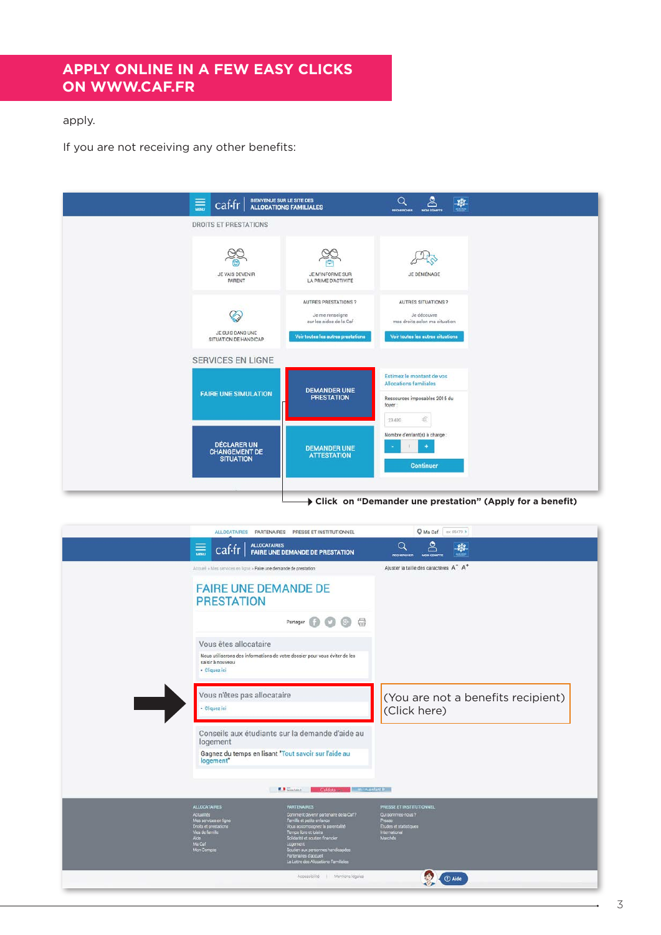# **APPLY ONLINE IN A FEW EASY CLICKS ON WWW.CAF.FR**

#### apply.

If you are not receiving any other benefits:



**Click on "Demander une prestation" (Apply for a benefit)**

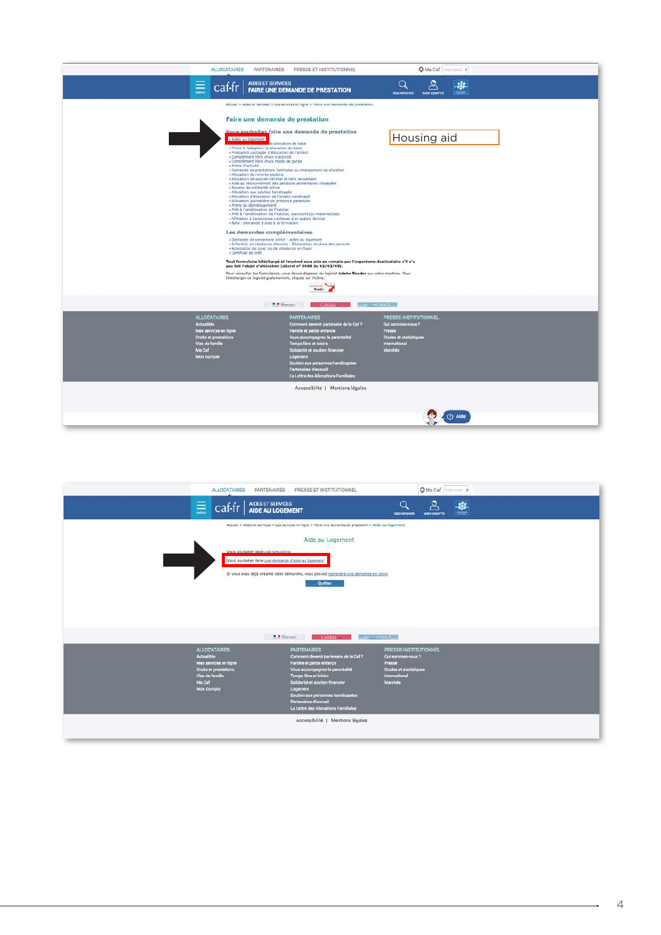| <b>ALLOCATAIRES</b>                                                                                                                   | PARTENAIRES<br>PRESSE ET INSTITUTIONNEL                                                                                                                                                                                                                                                                                                                                                                                                                                                                                                                                                                                                                                                                                                                                                                                                                                                                                                                                                                                                                                                                                                                                                                                                                                                                                                                                                                    | O Ma Caf Coorporal >                                                                                             |  |
|---------------------------------------------------------------------------------------------------------------------------------------|------------------------------------------------------------------------------------------------------------------------------------------------------------------------------------------------------------------------------------------------------------------------------------------------------------------------------------------------------------------------------------------------------------------------------------------------------------------------------------------------------------------------------------------------------------------------------------------------------------------------------------------------------------------------------------------------------------------------------------------------------------------------------------------------------------------------------------------------------------------------------------------------------------------------------------------------------------------------------------------------------------------------------------------------------------------------------------------------------------------------------------------------------------------------------------------------------------------------------------------------------------------------------------------------------------------------------------------------------------------------------------------------------------|------------------------------------------------------------------------------------------------------------------|--|
| $\equiv$<br>caf-fr                                                                                                                    | AIDES ET SERVICES<br>FAIRE UNE DEMANDE DE PRESTATION                                                                                                                                                                                                                                                                                                                                                                                                                                                                                                                                                                                                                                                                                                                                                                                                                                                                                                                                                                                                                                                                                                                                                                                                                                                                                                                                                       | Q<br>RECHERCHER<br><b>MON COMPTE</b>                                                                             |  |
|                                                                                                                                       | Accueil > Aides et services > Les services en ligne > Faire une demande de prestation                                                                                                                                                                                                                                                                                                                                                                                                                                                                                                                                                                                                                                                                                                                                                                                                                                                                                                                                                                                                                                                                                                                                                                                                                                                                                                                      |                                                                                                                  |  |
|                                                                                                                                       | Faire une demande de prestation<br>Vous souhaitez faire une demande de prestation<br>- Aides au logement<br>et allocation de base<br>» Prime à l'adoption et allocation de base<br>· Prestation partagée d'éducation de l'enfant<br>- Complément libre choix d'activité<br>· Complément libre choix mode de garde<br>» Prime d'activité<br>· Demande de prestations familiales ou changement de situation<br>· Allocation de rentrée scolaire<br>» Allocation de soutien familial et tiers recueillant<br>» Aide au recouvrement des pensions alimentaires impayées<br>» Revenu de solidarité active<br>- Allocation aux adultes handicapés<br>» Allocation d'éducation de l'enfant handicapé<br>» Allocation journalière de présence parentale<br>» Prime de déménagement.<br>- Prêt à l'amélioration de l'habitat<br>» Prêt à l'amélioration de l'habitat, assistant(e)s maternel(le)s<br>- Affiliation à l'assurance viellesse d'un aidant familial<br>- Bafa : demande d'aide à la formation<br>Les demandes complémentaires<br>» Demande de versement direct - aides au logement<br>- Enfant(s) en résidence alternée - Déclaration et choix des parents<br>· Attestation de loyer ou de résidence en foyer<br>- Certificat de prêt<br>Tout formulaire téléchargé et imprimé sera pris en compte par l'organisme destinataire s'il n'a<br>pas fait l'objet d'altération (décret nº 9968 du 02/02/99). | Housing aid                                                                                                      |  |
|                                                                                                                                       | Pour consulter les formulaires, vous devez disposer du logiciel Adobe Reader sur votre machine. Pour<br>télécharger ce logiciel gratuitement, cliquez sur l'icône.                                                                                                                                                                                                                                                                                                                                                                                                                                                                                                                                                                                                                                                                                                                                                                                                                                                                                                                                                                                                                                                                                                                                                                                                                                         |                                                                                                                  |  |
|                                                                                                                                       | Ge Adobe<br>Reader                                                                                                                                                                                                                                                                                                                                                                                                                                                                                                                                                                                                                                                                                                                                                                                                                                                                                                                                                                                                                                                                                                                                                                                                                                                                                                                                                                                         |                                                                                                                  |  |
|                                                                                                                                       | <b>EL Britannia</b><br>Cafdata                                                                                                                                                                                                                                                                                                                                                                                                                                                                                                                                                                                                                                                                                                                                                                                                                                                                                                                                                                                                                                                                                                                                                                                                                                                                                                                                                                             | m n-enfant fr                                                                                                    |  |
| <b>ALLOCATAIRES</b><br>Actualités<br>Mes services en ligne<br>Droits et prestations<br>Vies de famille<br>Ma Caf<br><b>Mon Compte</b> | <b>PARTENAIRES</b><br>Comment devenir partenaire de la Caf?<br>Famille et petite enfance<br>Vous accompagnez la parentalité<br><b>Temps libre et loisirs</b><br>Solidarité et soutien financier<br>Logement<br>Soutien aux personnes handicapées<br>Partenaires d'accueil<br>La Lettre des Allocations Familiales                                                                                                                                                                                                                                                                                                                                                                                                                                                                                                                                                                                                                                                                                                                                                                                                                                                                                                                                                                                                                                                                                          | PRESSE-INSTITUTIONNEL<br>Qui sommes-nous?<br>Presse<br><b>Etudes et statistiques</b><br>International<br>Marches |  |
|                                                                                                                                       | Accessibilité   Mentions légales                                                                                                                                                                                                                                                                                                                                                                                                                                                                                                                                                                                                                                                                                                                                                                                                                                                                                                                                                                                                                                                                                                                                                                                                                                                                                                                                                                           |                                                                                                                  |  |

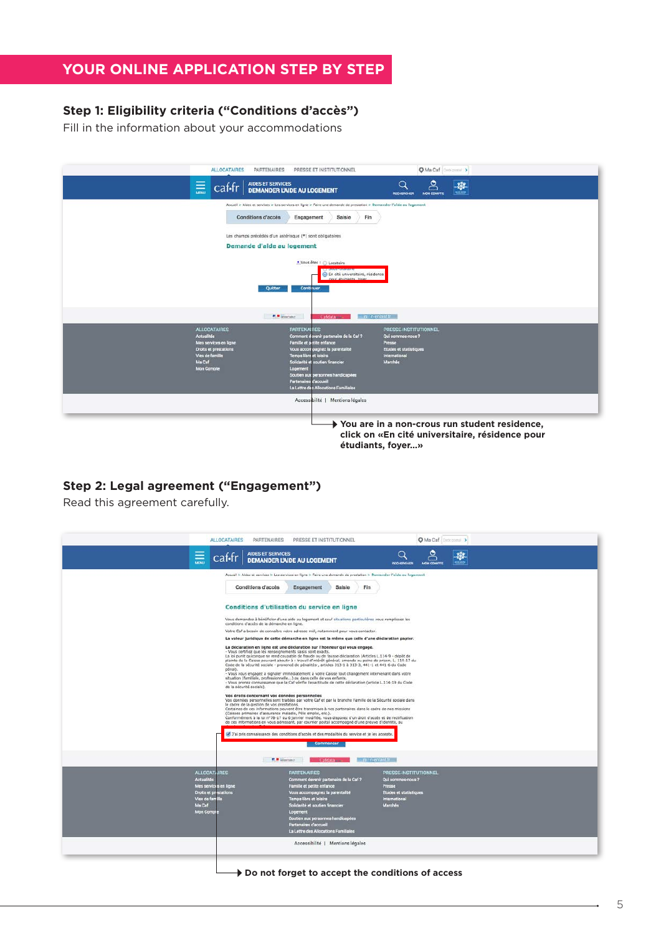# **YOUR ONLINE APPLICATION STEP BY STEP**

#### **Step 1: Eligibility criteria ("Conditions d'accès")**

Fill in the information about your accommodations

| <b>ALLOCATAIRES</b>                                                                   | <b>PARTENAIRES</b><br>PRESSE ET INSTITUTIONNEL                                                                                                                                                                                                                                                                                                                   | O Ma Caf   Doctoront >                                                                                                  |  |
|---------------------------------------------------------------------------------------|------------------------------------------------------------------------------------------------------------------------------------------------------------------------------------------------------------------------------------------------------------------------------------------------------------------------------------------------------------------|-------------------------------------------------------------------------------------------------------------------------|--|
| 量<br>caf-fr                                                                           | AIDES ET SERVICES<br><b>DEMANDER L'AIDE AU LOGEMENT</b>                                                                                                                                                                                                                                                                                                          | Ω<br>遊<br>1000<br><b>MON COMPTE</b><br>RECHERCHER                                                                       |  |
| Conditions d'accès                                                                    | Accueil > Aides et services > Les services en ligne > Faire une demande de prestation > Demander l'aide au logement<br>Engagement<br>Saisie<br>Fin<br>Les champs précédés d'un astérisque (*) sont obligatoires<br>Demande d'aide au logement<br>■ Vous êtes : ○ Locataire<br>En cité universitaire, résidence<br>nour étudiants, foyer.<br>Quitter<br>Continuer |                                                                                                                         |  |
| <b>ALLOCATAIRES</b><br><b>Actualités</b><br>Mes services en ligne                     | <b>R. R. Governor</b><br>Cafelata<br><b>PARTENAIRES</b><br>Comment dirvenir partenaire de la Caf?<br>Famille et putite enfance                                                                                                                                                                                                                                   | im in-enfant fr<br>PRESSE-INSTITUTIONNEL<br>Qui sommes-nous?<br>Presse                                                  |  |
| Droits et prestations<br><b>Vies de famille</b><br><b>Ma Caf</b><br><b>Mon Compte</b> | Vous accompagnez la parentalité<br><b>Temps libre et loisirs</b><br>Solidarité et soutien financier<br>Logement<br>Soutien aux personnes handicapées<br><b>Partenaires d'accueil</b><br>La Lettre des Allocations Familiales                                                                                                                                     | <b>Etudes et statistiques</b><br>International<br>Marchés                                                               |  |
|                                                                                       | Accessibilité   Mentions légales                                                                                                                                                                                                                                                                                                                                 | → You are in a non-crous run student residence,<br>click on «En cité universitaire, résidence pour<br>étudiants, foyer» |  |

#### **Step 2: Legal agreement ("Engagement")**

Read this agreement carefully.

|                                                                                                                                             | <b>ALLOCATAIRES</b>                                                                                                                                                                                                                                                                                                                                                                                                                    | PARTENAIRES PRESSE ET INSTITUTIONNEL                                                                                                                                                                                                                                                                                                                                                                                                                                                                                                                                                                                                                                                                                                                                                                                                                                                                                                                                                                                                                                                                                                                                                                                                                                                                                                                                                                                                                                                                                                                                                                                                                                                                                        |                                                                                                            | O Ma Caf Cocoportal |  |
|---------------------------------------------------------------------------------------------------------------------------------------------|----------------------------------------------------------------------------------------------------------------------------------------------------------------------------------------------------------------------------------------------------------------------------------------------------------------------------------------------------------------------------------------------------------------------------------------|-----------------------------------------------------------------------------------------------------------------------------------------------------------------------------------------------------------------------------------------------------------------------------------------------------------------------------------------------------------------------------------------------------------------------------------------------------------------------------------------------------------------------------------------------------------------------------------------------------------------------------------------------------------------------------------------------------------------------------------------------------------------------------------------------------------------------------------------------------------------------------------------------------------------------------------------------------------------------------------------------------------------------------------------------------------------------------------------------------------------------------------------------------------------------------------------------------------------------------------------------------------------------------------------------------------------------------------------------------------------------------------------------------------------------------------------------------------------------------------------------------------------------------------------------------------------------------------------------------------------------------------------------------------------------------------------------------------------------------|------------------------------------------------------------------------------------------------------------|---------------------|--|
| $\equiv$                                                                                                                                    | AIDES ET SERVICES<br>cat-tr                                                                                                                                                                                                                                                                                                                                                                                                            | <b>DEMANDER L'AIDE AU LOGEMENT</b>                                                                                                                                                                                                                                                                                                                                                                                                                                                                                                                                                                                                                                                                                                                                                                                                                                                                                                                                                                                                                                                                                                                                                                                                                                                                                                                                                                                                                                                                                                                                                                                                                                                                                          | Q<br>RECHERCHER                                                                                            | <b>MON COMPTE</b>   |  |
|                                                                                                                                             | Conditions d'accès<br>conditions d'accès de la démarche en ligne.<br>- Vous certifiez que les renseignements saisis sont exacts.<br>pénal).<br>situation (familiale, professionnelle) ou dans celle de vos enfants.<br>de la sécurité sociale).<br>Vos droits concernant vos données personnelles<br>le cadre de la gestion de vos prestations.<br>(Caisses primaires d'assurance maladie, Pôle emploi, etc.).<br><b>E a</b> linestone | Accueil > Aides et services > Les services en ligne > Faire une demande de prestation > Demander l'aide au logennent<br>Saisie<br>Engagement<br>Fin.<br>Conditions d'utilisation du service en ligne<br>Vous demandez à bénéficier d'une aide au logement et sauf situations particulières vous remplissez les<br>Votre Cal a besoin de connaître votre adresse mél, notamment pour vous contacter.<br>La valeur juridique de cette démarche en ligne est la même que celle d'une déclaration papier.<br>La déclaration en ligne est une déclaration sur l'honneur qui vous engage.<br>La loi punit quiconque se rend coupable de fraude ou de fausse déclaration (Articles L.114-9 - dépôt de<br>plainte de la Caisse pouvant aboutir à : travail d'intérêt général, amende ou peine de prison, L. 114-17 du<br>Code de la sécurité sociale - prononcé de pénalités-, articles 313-1 à 313-3, 441-1 et 441-6 du Code<br>- Vous vous engagez à signaler immédiatement à votre Caisse tout changement intervenant dans votre<br>- Vous prenez connaissance que la Caf vérifie l'exactitude de cette déclaration (article L.114-19 du Code<br>Vos données personnelles sont traitées par votre Caf et par la branche Famille de la Sécurité sociale dans<br>Certaines de ces informations peuvent être transmises à nos partenaires dans le cadre de nos missions<br>Conformément à la loi n°78-17 du 6 janvier modifiée, vous disposez d'un droit d'accès et de rectification<br>de ces informations en vous adressant, par courrier postal accompagné d'une preuve d'identité, au<br>Fai pris connaissance des conditions d'accès et des modalités du service et je les accepte.<br>commencer<br>Cafriata<br>in n-entant tr |                                                                                                            |                     |  |
| <b>ALLOCATAJRES</b><br><b>Actualités</b><br>Mes services en ligne<br>Droits et prestations<br>Vies de familie<br>Ma Caf<br><b>Mon Compt</b> |                                                                                                                                                                                                                                                                                                                                                                                                                                        | <b>PARTENAIRES</b><br>Comment devenir partenaire de la Caf?<br>Famille et petite enfance<br>Vous accompagnez la parentalité<br><b>Temps libre et loisirs</b><br>Solidarité et soutien financier<br>Logement<br>Soutien aux personnes handicapées<br>Partenaires d'accueil<br>La Lettre des Allocations Familiales<br>Accessibilité   Mentions légales                                                                                                                                                                                                                                                                                                                                                                                                                                                                                                                                                                                                                                                                                                                                                                                                                                                                                                                                                                                                                                                                                                                                                                                                                                                                                                                                                                       | PRESSE-INSTITUTIONNEL<br>Qui sommes nous ?<br>Presse<br>Etudes et statistiques<br>International<br>Marchés |                     |  |
|                                                                                                                                             |                                                                                                                                                                                                                                                                                                                                                                                                                                        |                                                                                                                                                                                                                                                                                                                                                                                                                                                                                                                                                                                                                                                                                                                                                                                                                                                                                                                                                                                                                                                                                                                                                                                                                                                                                                                                                                                                                                                                                                                                                                                                                                                                                                                             |                                                                                                            |                     |  |

#### Do not forget to accept the conditions of access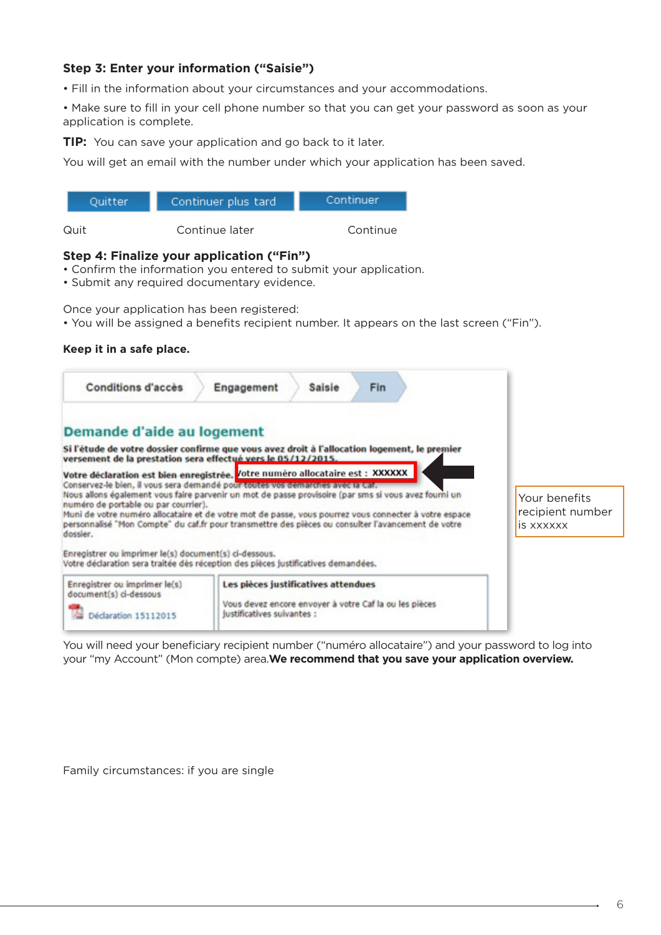#### **Step 3: Enter your information ("Saisie")**

- Fill in the information about your circumstances and your accommodations.
- Make sure to fill in your cell phone number so that you can get your password as soon as your application is complete.

**TIP:** You can save your application and go back to it later.

You will get an email with the number under which your application has been saved.

| Ouitter | Continuer plus tard | Continuer |
|---------|---------------------|-----------|
| Quit    | Continue later      | Continue  |

#### **Step 4: Finalize your application ("Fin")**

- Confirm the information you entered to submit your application.
- Submit any required documentary evidence.

Once your application has been registered:

• You will be assigned a benefits recipient number. It appears on the last screen ("Fin").

#### **Keep it in a safe place.**

| <b>Conditions d'accès</b>                                                                                 | Engagement<br><b>Saisie</b><br><b>Fin</b>                                                                                                                                                                                                                                                                                                                                                                                                                                                                                                                                   |                                                |
|-----------------------------------------------------------------------------------------------------------|-----------------------------------------------------------------------------------------------------------------------------------------------------------------------------------------------------------------------------------------------------------------------------------------------------------------------------------------------------------------------------------------------------------------------------------------------------------------------------------------------------------------------------------------------------------------------------|------------------------------------------------|
| Demande d'aide au logement                                                                                |                                                                                                                                                                                                                                                                                                                                                                                                                                                                                                                                                                             |                                                |
| versement de la prestation sera effectué vers le 05/12/2015.                                              | Si l'étude de votre dossier confirme que vous avez droit à l'allocation logement, le premier                                                                                                                                                                                                                                                                                                                                                                                                                                                                                |                                                |
| numéro de portable ou par courrier).<br>dossier.<br>Enregistrer ou imprimer le(s) document(s) ci-dessous. | Votre déclaration est bien enregistrée. Votre numéro allocataire est : XXXXXX<br>Conservez-le bien, il vous sera demandé pour toutes vos demarches avec la Car.<br>Nous allons également vous faire parvenir un mot de passe provisoire (par sms si vous avez fourni un<br>Muni de votre numéro allocataire et de votre mot de passe, vous pourrez vous connecter à votre espace<br>personnalisé "Mon Compte" du caf.fr pour transmettre des pièces ou consulter l'avancement de votre<br>Votre déclaration sera traitée dès réception des pièces justificatives demandées. | Your benefits<br>recipient number<br>is xxxxxx |
| Enregistrer ou imprimer le(s)<br>document(s) ci-dessous<br>Déclaration 15112015                           | Les pièces justificatives attendues<br>Vous devez encore envoyer à votre Caf la ou les pièces<br>justificatives suivantes :                                                                                                                                                                                                                                                                                                                                                                                                                                                 |                                                |

You will need your beneficiary recipient number ("numéro allocataire") and your password to log into your "my Account" (Mon compte) area.**We recommend that you save your application overview.**

Family circumstances: if you are single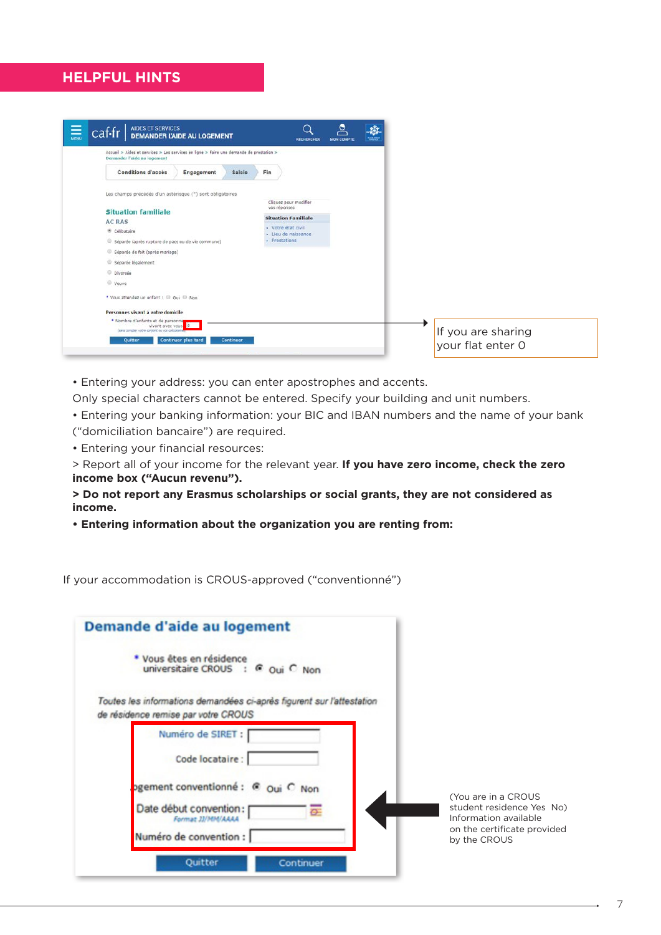# **HELPFUL HINTS**



• Entering your address: you can enter apostrophes and accents.

Only special characters cannot be entered. Specify your building and unit numbers.

• Entering your banking information: your BIC and IBAN numbers and the name of your bank ("domiciliation bancaire") are required.

• Entering your financial resources:

> Report all of your income for the relevant year. **If you have zero income, check the zero income box ("Aucun revenu").**

**> Do not report any Erasmus scholarships or social grants, they are not considered as income.**

**• Entering information about the organization you are renting from:**

If your accommodation is CROUS-approved ("conventionné")

| Demande d'aide au logement                                                                                   |                  |
|--------------------------------------------------------------------------------------------------------------|------------------|
| * Vous êtes en résidence<br>universitaire CROUS : C Oui C Non                                                |                  |
| Toutes les informations demandées ci-après figurent sur l'attestation<br>de résidence remise par votre CROUS |                  |
| Numéro de SIRET :                                                                                            |                  |
| Code locataire:                                                                                              |                  |
| ogement conventionné : C Oui C Non                                                                           | (Yo              |
| Date début convention:<br>Format JJ/MM/AAAA                                                                  | stu<br>Œ<br>Infc |
| Numéro de convention :                                                                                       | on i<br>by 1     |
| Quitter<br>Continuer                                                                                         |                  |

u are in a CROUS dent residence Yes No) ormation available the certificate provided by the CROUS